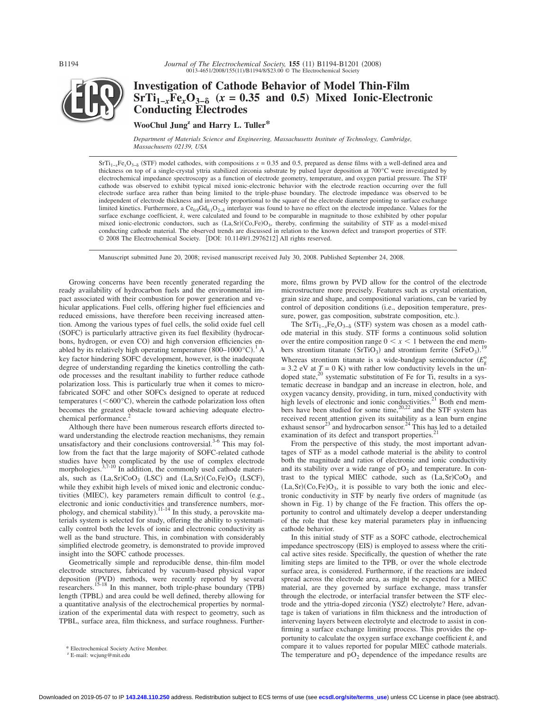*Journal of The Electrochemical Society*, **155** (11) B1194-B1201 (2008)<br>
0013-4651/2008/155(11)/B1194/8/\$23.00 © The Electrochemical Society



# **Investigation of Cathode Behavior of Model Thin-Film**  $SrTi_{1-x}Fe_xO_{3-\delta}$  ( $x = 0.35$  and 0.5) Mixed Ionic-Electronic **Conducting Electrodes**

**WooChul Jungz and Harry L. Tuller\***

*Department of Materials Science and Engineering, Massachusetts Institute of Technology, Cambridge, Massachusetts 02139, USA*

 $SfTi_{1-x}Fe_xO_{3-\delta}$  (STF) model cathodes, with compositions  $x = 0.35$  and 0.5, prepared as dense films with a well-defined area and thickness on top of a single-crystal yttria stabilized zirconia substrate by pulsed layer deposition at 700°C were investigated by electrochemical impedance spectroscopy as a function of electrode geometry, temperature, and oxygen partial pressure. The STF cathode was observed to exhibit typical mixed ionic-electronic behavior with the electrode reaction occurring over the full electrode surface area rather than being limited to the triple-phase boundary. The electrode impedance was observed to be independent of electrode thickness and inversely proportional to the square of the electrode diameter pointing to surface exchange limited kinetics. Furthermore, a Ce<sub>0.9</sub>Gd<sub>0.1</sub>O<sub>2−6</sub> interlayer was found to have no effect on the electrode impedance. Values for the surface exchange coefficient, *k*, were calculated and found to be comparable in magnitude to those exhibited by other popular mixed ionic-electronic conductors, such as  $(La, Sr)(Co, Fe)O<sub>3</sub>$ , thereby, confirming the suitability of STF as a model-mixed conducting cathode material. The observed trends are discussed in relation to the known defect and transport properties of STF. © 2008 The Electrochemical Society. [DOI: 10.1149/1.2976212] All rights reserved.

Manuscript submitted June 20, 2008; revised manuscript received July 30, 2008. Published September 24, 2008.

Growing concerns have been recently generated regarding the ready availability of hydrocarbon fuels and the environmental impact associated with their combustion for power generation and vehicular applications. Fuel cells, offering higher fuel efficiencies and reduced emissions, have therefore been receiving increased attention. Among the various types of fuel cells, the solid oxide fuel cell (SOFC) is particularly attractive given its fuel flexibility (hydrocarbons, hydrogen, or even CO) and high conversion efficiencies enabled by its relatively high operating temperature  $(800-1000^{\circ}C)^{1}$  A key factor hindering SOFC development, however, is the inadequate degree of understanding regarding the kinetics controlling the cathode processes and the resultant inability to further reduce cathode polarization loss. This is particularly true when it comes to microfabricated SOFC and other SOFCs designed to operate at reduced temperatures ( $\leq 600^{\circ}$ C), wherein the cathode polarization loss often becomes the greatest obstacle toward achieving adequate electrochemical performance.<sup>2</sup>

Although there have been numerous research efforts directed toward understanding the electrode reaction mechanisms, they remain unsatisfactory and their conclusions controversial.<sup>3-6</sup> This may follow from the fact that the large majority of SOFC-related cathode studies have been complicated by the use of complex electrode morphologies.<sup>3,7-10</sup> In addition, the commonly used cathode materials, such as  $(La, Sr)CoO<sub>3</sub>$   $(LSC)$  and  $(La, Sr)(Co, Fe)O<sub>3</sub>$   $(LSCF)$ , while they exhibit high levels of mixed ionic and electronic conductivities (MIEC), key parameters remain difficult to control (e.g., electronic and ionic conductivities and transference numbers, morphology, and chemical stability).<sup>11-14</sup> In this study, a perovskite materials system is selected for study, offering the ability to systematically control both the levels of ionic and electronic conductivity as well as the band structure. This, in combination with considerably simplified electrode geometry, is demonstrated to provide improved insight into the SOFC cathode processes.

Geometrically simple and reproducible dense, thin-film model electrode structures, fabricated by vacuum-based physical vapor deposition (PVD) methods, were recently reported by several researchers.<sup>15-18</sup> In this manner, both triple-phase boundary (TPB) length (TPBL) and area could be well defined, thereby allowing for a quantitative analysis of the electrochemical properties by normalization of the experimental data with respect to geometry, such as TPBL, surface area, film thickness, and surface roughness. Further-

<sup>z</sup> E-mail: wcjung@mit.edu

more, films grown by PVD allow for the control of the electrode microstructure more precisely. Features such as crystal orientation, grain size and shape, and compositional variations, can be varied by control of deposition conditions (i.e., deposition temperature, pressure, power, gas composition, substrate composition, etc.).

The SrTi<sub>1−*x*</sub>Fe<sub>*x*</sub>O<sub>3−δ</sub> (STF) system was chosen as a model cathode material in this study. STF forms a continuous solid solution over the entire composition range  $0 \le x \le 1$  between the end mem-<br>here streatium titanate (SxTiO) and streatium ferrite (SxEeO) 19 bers strontium titanate  $(SrTiO<sub>3</sub>)$  and strontium ferrite  $(SrFeO<sub>3</sub>)$ . Whereas strontium titanate is a wide-bandgap semiconductor  $(E_g^{\circ})$  $= 3.2$  eV at  $T = 0$  K) with rather low conductivity levels in the un- $\frac{200 \text{ V}}{200 \text{ s}}$  systematic substitution of Fe for Ti, results in a systematic decrease in bandgap and an increase in electron, hole, and oxygen vacancy density, providing, in turn, mixed conductivity with high levels of electronic and ionic conductivities.<sup>21</sup> Both end members have been studied for some time,  $20,22$  and the STF system has received recent attention given its suitability as a lean burn engine exhaust sensor<sup>23</sup> and hydrocarbon sensor.<sup>24</sup> This has led to a detailed examination of its defect and transport properties.

From the perspective of this study, the most important advantages of STF as a model cathode material is the ability to control both the magnitude and ratios of electronic and ionic conductivity and its stability over a wide range of  $pO<sub>2</sub>$  and temperature. In contrast to the typical MIEC cathode, such as  $(La, Sr)CoO<sub>3</sub>$  and  $(La, Sr)(Co, Fe)O<sub>3</sub>$ , it is possible to vary both the ionic and electronic conductivity in STF by nearly five orders of magnitude (as shown in Fig. 1) by change of the Fe fraction. This offers the opportunity to control and ultimately develop a deeper understanding of the role that these key material parameters play in influencing cathode behavior.

In this initial study of STF as a SOFC cathode, electrochemical impedance spectroscopy (EIS) is employed to assess where the critical active sites reside. Specifically, the question of whether the rate limiting steps are limited to the TPB, or over the whole electrode surface area, is considered. Furthermore, if the reactions are indeed spread across the electrode area, as might be expected for a MIEC material, are they governed by surface exchange, mass transfer through the electrode, or interfacial transfer between the STF electrode and the yttria-doped zirconia (YSZ) electrolyte? Here, advantage is taken of variations in film thickness and the introduction of intervening layers between electrolyte and electrode to assist in confirming a surface exchange limiting process. This provides the opportunity to calculate the oxygen surface exchange coefficient *k*, and compare it to values reported for popular MIEC cathode materials. Electrochemical Society Active Member.<br>The temperature and  $pO_2$  dependence of the impedance results are \* E-mail: wejung@mit.edu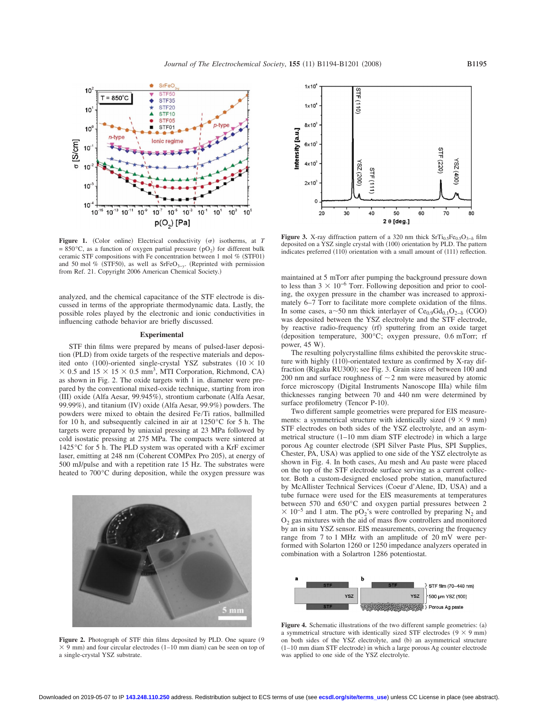

Figure 1. (Color online) Electrical conductivity  $(\sigma)$  isotherms, at *T*  $= 850^{\circ}$ C, as a function of oxygen partial pressure (pO<sub>2</sub>) for different bulk ceramic STF compositions with Fe concentration between 1 mol  $%$  (STF01) and 50 mol % (STF50), as well as SrFeO<sub>3−y</sub>. (Reprinted with permission from Ref. 21. Copyright 2006 American Chemical Society.)

analyzed, and the chemical capacitance of the STF electrode is discussed in terms of the appropriate thermodynamic data. Lastly, the possible roles played by the electronic and ionic conductivities in influencing cathode behavior are briefly discussed.

## **Experimental**

STF thin films were prepared by means of pulsed-laser deposition (PLD) from oxide targets of the respective materials and deposited onto (100)-oriented single-crystal YSZ substrates ( $10 \times 10$  $\times$  0.5 and 15  $\times$  15  $\times$  0.5 mm<sup>3</sup>, MTI Corporation, Richmond, CA) as shown in Fig. 2. The oxide targets with 1 in. diameter were prepared by the conventional mixed-oxide technique, starting from iron (III) oxide (Alfa Aesar, 99.945%), strontium carbonate (Alfa Aesar, 99.99%), and titanium (IV) oxide (Alfa Aesar, 99.9%) powders. The powders were mixed to obtain the desired Fe/Ti ratios, ballmilled for 10 h, and subsequently calcined in air at 1250°C for 5 h. The targets were prepared by uniaxial pressing at 23 MPa followed by cold isostatic pressing at 275 MPa. The compacts were sintered at 1425°C for 5 h. The PLD system was operated with a KrF excimer laser, emitting at 248 nm (Coherent COMPex Pro 205), at energy of 500 mJ/pulse and with a repetition rate 15 Hz. The substrates were heated to 700°C during deposition, while the oxygen pressure was



Figure 2. Photograph of STF thin films deposited by PLD. One square (9  $\times$  9 mm) and four circular electrodes (1–10 mm diam) can be seen on top of a single-crystal YSZ substrate.



**Figure 3.** X-ray diffraction pattern of a 320 nm thick  $SrTi<sub>0.5</sub>Fe<sub>0.5</sub>O<sub>3-8</sub> film$ deposited on a YSZ single crystal with (100) orientation by PLD. The pattern indicates preferred (110) orientation with a small amount of (111) reflection.

maintained at 5 mTorr after pumping the background pressure down to less than  $3 \times 10^{-6}$  Torr. Following deposition and prior to cooling, the oxygen pressure in the chamber was increased to approximately 6–7 Torr to facilitate more complete oxidation of the films. In some cases, a~50 nm thick interlayer of  $Ce<sub>0.9</sub>Gd<sub>0.1</sub>O<sub>2−δ</sub>$  (CGO) was deposited between the YSZ electrolyte and the STF electrode, by reactive radio-frequency (rf) sputtering from an oxide target deposition temperature, 300°C; oxygen pressure, 0.6 mTorr; rf power, 45 W).

The resulting polycrystalline films exhibited the perovskite structure with highly (110)-orientated texture as confirmed by X-ray diffraction (Rigaku RU300); see Fig. 3. Grain sizes of between 100 and 200 nm and surface roughness of  $\sim$  2 nm were measured by atomic force microscopy (Digital Instruments Nanoscope IIIa) while film thicknesses ranging between 70 and 440 nm were determined by surface profilometry (Tencor P-10).

Two different sample geometries were prepared for EIS measurements: a symmetrical structure with identically sized  $(9 \times 9 \text{ mm})$ STF electrodes on both sides of the YSZ electrolyte, and an asymmetrical structure (1-10 mm diam STF electrode) in which a large porous Ag counter electrode (SPI Silver Paste Plus, SPI Supplies, Chester, PA, USA) was applied to one side of the YSZ electrolyte as shown in Fig. 4. In both cases, Au mesh and Au paste were placed on the top of the STF electrode surface serving as a current collector. Both a custom-designed enclosed probe station, manufactured by McAllister Technical Services (Coeur d'Alene, ID, USA) and a tube furnace were used for the EIS measurements at temperatures between 570 and 650°C and oxygen partial pressures between 2  $\times$  10<sup>-5</sup> and 1 atm. The pO<sub>2</sub>'s were controlled by preparing N<sub>2</sub> and  $O<sub>2</sub>$  gas mixtures with the aid of mass flow controllers and monitored by an in situ YSZ sensor. EIS measurements, covering the frequency range from 7 to 1 MHz with an amplitude of 20 mV were performed with Solarton 1260 or 1250 impedance analyzers operated in combination with a Solartron 1286 potentiostat.



Figure 4. Schematic illustrations of the two different sample geometries: (a) a symmetrical structure with identically sized STF electrodes  $(9 \times 9 \text{ mm})$ on both sides of the YSZ electrolyte, and (b) an asymmetrical structure (1-10 mm diam STF electrode) in which a large porous Ag counter electrode was applied to one side of the YSZ electrolyte.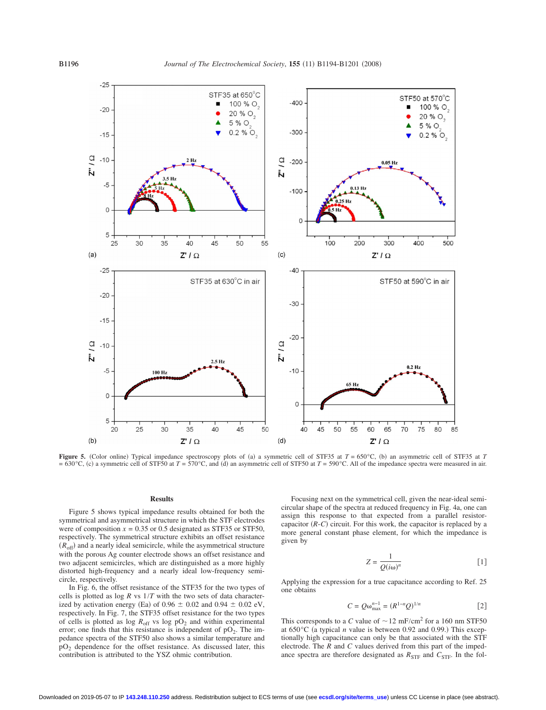

**Figure 5.** (Color online) Typical impedance spectroscopy plots of (a) a symmetric cell of STF35 at  $T = 650^{\circ}$ C, (b) an asymmetric cell of STF35 at *T*  $= 630^{\circ}$ C, (c) a symmetric cell of STF50 at *T* = 570 $^{\circ}$ C, and (d) an asymmetric cell of STF50 at *T* = 590 $^{\circ}$ C. All of the impedance spectra were measured in air.

#### **Results**

Figure 5 shows typical impedance results obtained for both the symmetrical and asymmetrical structure in which the STF electrodes were of composition  $x = 0.35$  or 0.5 designated as STF35 or STF50, respectively. The symmetrical structure exhibits an offset resistance  $(R<sub>off</sub>)$  and a nearly ideal semicircle, while the asymmetrical structure with the porous Ag counter electrode shows an offset resistance and two adjacent semicircles, which are distinguished as a more highly distorted high-frequency and a nearly ideal low-frequency semicircle, respectively.

In Fig. 6, the offset resistance of the STF35 for the two types of cells is plotted as  $\log R$  vs  $1/T$  with the two sets of data characterized by activation energy (Ea) of  $0.96 \pm 0.02$  and  $0.94 \pm 0.02$  eV, respectively. In Fig. 7, the STF35 offset resistance for the two types of cells is plotted as log  $R_{\text{off}}$  vs log  $pO_2$  and within experimental error; one finds that this resistance is independent of  $pO<sub>2</sub>$ . The impedance spectra of the STF50 also shows a similar temperature and pO2 dependence for the offset resistance. As discussed later, this contribution is attributed to the YSZ ohmic contribution.

Focusing next on the symmetrical cell, given the near-ideal semicircular shape of the spectra at reduced frequency in Fig. 4a, one can assign this response to that expected from a parallel resistorcapacitor  $(R-C)$  circuit. For this work, the capacitor is replaced by a more general constant phase element, for which the impedance is given by

$$
Z = \frac{1}{Q(i\omega)^n} \tag{1}
$$

Applying the expression for a true capacitance according to Ref. 25 one obtains

$$
C = Q\omega_{\text{max}}^{n-1} = (R^{1-n}Q)^{1/n} \tag{2}
$$

This corresponds to a *C* value of  $\sim 12 \text{ mF/cm}^2$  for a 160 nm STF50 at  $650^{\circ}$ C (a typical *n* value is between 0.92 and 0.99.) This exceptionally high capacitance can only be that associated with the STF electrode. The *R* and *C* values derived from this part of the impedance spectra are therefore designated as  $R_{\text{STF}}$  and  $C_{\text{STF}}$ . In the fol-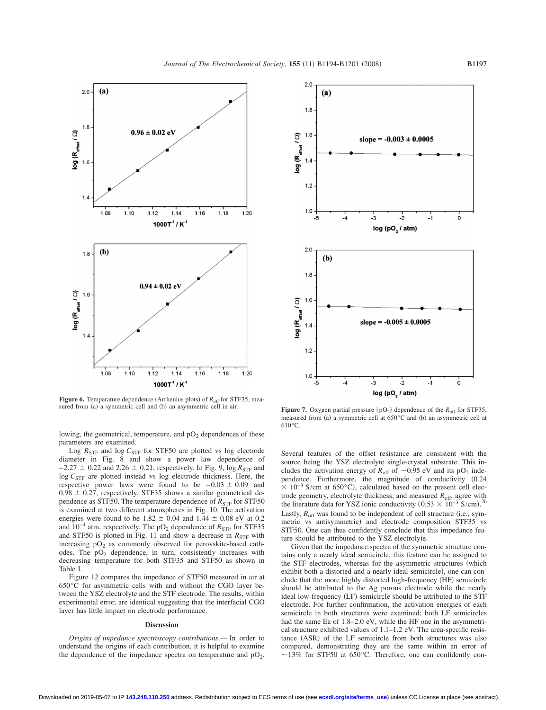

**Figure 6.** Temperature dependence (Arrhenius plots) of  $R_{off}$  for STF35, measured from (a) a symmetric cell and (b)

lowing, the geometrical, temperature, and  $pO<sub>2</sub>$  dependences of these parameters are examined.

Log  $R_{\text{STF}}$  and log  $C_{\text{STF}}$  for STF50 are plotted vs log electrode diameter in Fig. 8 and show a power law dependence of  $-2.27 \pm 0.22$  and 2.26  $\pm$  0.21, respectively. In Fig. 9, log  $R_{\text{STF}}$  and log  $C_{\rm STF}$  are plotted instead vs log electrode thickness. Here, the respective power laws were found to be  $-0.03 \pm 0.09$  and  $0.98 \pm 0.27$ , respectively. STF35 shows a similar geometrical dependence as STF50. The temperature dependence of  $R_{STF}$  for STF50 is examined at two different atmospheres in Fig. 10. The activation energies were found to be  $1.82 \pm 0.04$  and  $1.44 \pm 0.08$  eV at 0.2 and  $10^{-4}$  atm, respectively. The pO<sub>2</sub> dependence of  $R_{\text{STF}}$  for STF35 and STF50 is plotted in Fig. 11 and show a decrease in  $R_{\text{STF}}$  with increasing  $pO_2$  as commonly observed for perovskite-based cathodes. The  $pO_2$  dependence, in turn, consistently increases with decreasing temperature for both STF35 and STF50 as shown in Table I.

Figure 12 compares the impedance of STF50 measured in air at 650°C for asymmetric cells with and without the CGO layer between the YSZ electrolyte and the STF electrode. The results, within experimental error, are identical suggesting that the interfacial CGO layer has little impact on electrode performance.

### **Discussion**

*Origins of impedance spectroscopy contributions*.— In order to understand the origins of each contribution, it is helpful to examine the dependence of the impedance spectra on temperature and  $pO_2$ .



an asymmetric cell in air. **Figure 7.** Oxygen partial pressure  $(pO_2)$  dependence of the  $R_{off}$  for STF35, measured from (a) a symmetric cell at  $650^{\circ}$ C and (b) an asymmetric cell at 610°C.

Several features of the offset resistance are consistent with the source being the YSZ electrolyte single-crystal substrate. This includes the activation energy of  $R_{\text{off}}$  of  $\sim 0.95$  eV and its pO<sub>2</sub> independence. Furthermore, the magnitude of conductivity (0.24  $\times$  10<sup>-3</sup> S/cm at 650°C), calculated based on the present cell electrode geometry, electrolyte thickness, and measured  $R_{\text{off}}$ , agree with the literature data for YSZ ionic conductivity  $(0.53 \times 10^{-3} \text{ S/cm})^{26}$ Lastly,  $R_{\text{off}}$  was found to be independent of cell structure (i.e., symmetric vs antisymmetric) and electrode composition STF35 vs STF50. One can thus confidently conclude that this impedance feature should be attributed to the YSZ electrolyte.

Given that the impedance spectra of the symmetric structure contains only a nearly ideal semicircle, this feature can be assigned to the STF electrodes, whereas for the asymmetric structures (which exhibit both a distorted and a nearly ideal semicircle), one can conclude that the more highly distorted high-frequency (HF) semicircle should be attributed to the Ag porous electrode while the nearly ideal low-frequency (LF) semicircle should be attributed to the STF electrode. For further confirmation, the activation energies of each semicircle in both structures were examined; both LF semicircles had the same Ea of 1.8–2.0 eV, while the HF one in the asymmetrical structure exhibited values of 1.1–1.2 eV. The area-specific resistance (ASR) of the LF semicircle from both structures was also compared, demonstrating they are the same within an error of  $\sim$  13% for STF50 at 650 °C. Therefore, one can confidently con-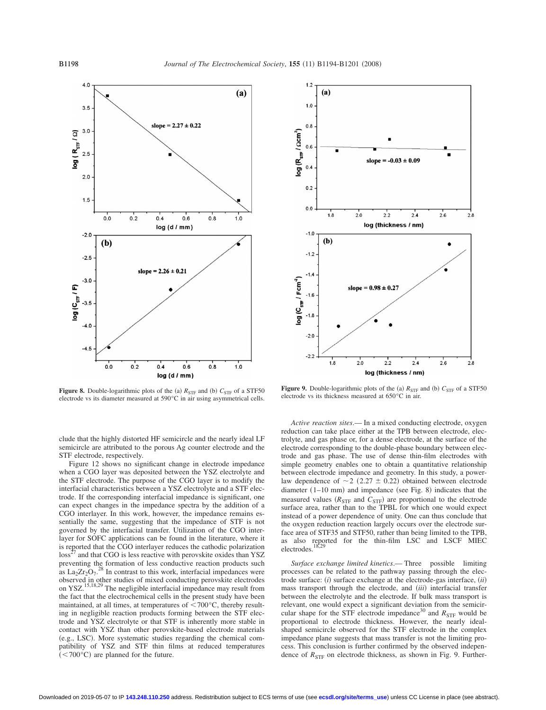

**Figure 8.** Double-logarithmic plots of the (a)  $R_{\text{STF}}$  and (b)  $C_{\text{STF}}$  of a STF50 electrode vs its diameter measured at 590°C in air using asymmetrical cells.

clude that the highly distorted HF semicircle and the nearly ideal LF semicircle are attributed to the porous Ag counter electrode and the STF electrode, respectively.

Figure 12 shows no significant change in electrode impedance when a CGO layer was deposited between the YSZ electrolyte and the STF electrode. The purpose of the CGO layer is to modify the interfacial characteristics between a YSZ electrolyte and a STF electrode. If the corresponding interfacial impedance is significant, one can expect changes in the impedance spectra by the addition of a CGO interlayer. In this work, however, the impedance remains essentially the same, suggesting that the impedance of STF is not governed by the interfacial transfer. Utilization of the CGO interlayer for SOFC applications can be found in the literature, where it is reported that the CGO interlayer reduces the cathodic polarization  $\cos^2$  and that CGO is less reactive with perovskite oxides than YSZ preventing the formation of less conductive reaction products such as  $\text{La}_2\text{Zr}_2\text{O}_7$ .<sup>28</sup> In contrast to this work, interfacial impedances were observed in other studies of mixed conducting perovskite electrodes on YSZ.<sup>15,18,29</sup> The negligible interfacial impedance may result from the fact that the electrochemical cells in the present study have been maintained, at all times, at temperatures of  $\leq 700^{\circ}$ C, thereby resulting in negligible reaction products forming between the STF electrode and YSZ electrolyte or that STF is inherently more stable in contact with YSZ than other perovskite-based electrode materials (e.g., LSC). More systematic studies regarding the chemical compatibility of YSZ and STF thin films at reduced temperatures  $(< 700^{\circ}$ C) are planned for the future.



**Figure 9.** Double-logarithmic plots of the (a)  $R_{\text{STF}}$  and (b)  $C_{\text{STF}}$  of a STF50 electrode vs its thickness measured at 650°C in air.

*Active reaction sites*.— In a mixed conducting electrode, oxygen reduction can take place either at the TPB between electrode, electrolyte, and gas phase or, for a dense electrode, at the surface of the electrode corresponding to the double-phase boundary between electrode and gas phase. The use of dense thin-film electrodes with simple geometry enables one to obtain a quantitative relationship between electrode impedance and geometry. In this study, a powerlaw dependence of  $\sim$  2 (2.27  $\pm$  0.22) obtained between electrode diameter  $(1-10 \text{ mm})$  and impedance (see Fig. 8) indicates that the measured values  $(R_{STF}$  and  $C_{STF}$ ) are proportional to the electrode surface area, rather than to the TPBL for which one would expect instead of a power dependence of unity. One can thus conclude that the oxygen reduction reaction largely occurs over the electrode surface area of STF35 and STF50, rather than being limited to the TPB, as also reported for the thin-film LSC and LSCF MIEC electrodes.<sup>18,29</sup>

*Surface exchange limited kinetics*.— Three possible limiting processes can be related to the pathway passing through the electrode surface: *(i)* surface exchange at the electrode-gas interface, *(ii)* mass transport through the electrode, and *(iii)* interfacial transfer between the electrolyte and the electrode. If bulk mass transport is relevant, one would expect a significant deviation from the semicircular shape for the STF electrode impedance<sup>30</sup> and  $R<sub>STF</sub>$  would be proportional to electrode thickness. However, the nearly idealshaped semicircle observed for the STF electrode in the complex impedance plane suggests that mass transfer is not the limiting process. This conclusion is further confirmed by the observed independence of  $R_{\text{STF}}$  on electrode thickness, as shown in Fig. 9. Further-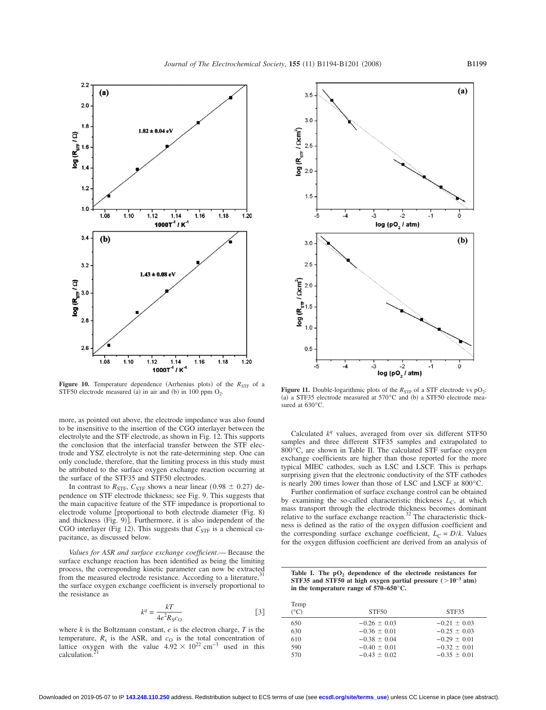

**Figure 10.** Temperature dependence (Arrhenius plots) of the  $R_{STF}$  of a STF50 electrode measured (a) in air and (b)

more, as pointed out above, the electrode impedance was also found to be insensitive to the insertion of the CGO interlayer between the electrolyte and the STF electrode, as shown in Fig. 12. This supports the conclusion that the interfacial transfer between the STF electrode and YSZ electrolyte is not the rate-determining step. One can only conclude, therefore, that the limiting process in this study must be attributed to the surface oxygen exchange reaction occurring at the surface of the STF35 and STF50 electrodes.

In contrast to  $R_{\text{STF}}$ ,  $C_{\text{STF}}$  shows a near linear (0.98  $\pm$  0.27) dependence on STF electrode thickness; see Fig. 9. This suggests that the main capacitive feature of the STF impedance is proportional to electrode volume [proportional to both electrode diameter (Fig. 8) and thickness (Fig. 9)]. Furthermore, it is also independent of the CGO interlayer (Fig 12). This suggests that  $C_{\text{STF}}$  is a chemical capacitance, as discussed below.

*Values for ASR and surface exchange coefficient*.— Because the surface exchange reaction has been identified as being the limiting process, the corresponding kinetic parameter can now be extracted from the measured electrode resistance. According to a literature, the surface oxygen exchange coefficient is inversely proportional to the resistance as

$$
k^q = \frac{kT}{4e^2 R_S c_O} \tag{3}
$$

where *k* is the Boltzmann constant, *e* is the electron charge, *T* is the temperature,  $R_s$  is the ASR, and  $c<sub>O</sub>$  is the total concentration of lattice oxygen with the value  $4.92 \times 10^{22}$  cm<sup>-3</sup> used in this calculation.



**Figure 11.** Double-logarithmic plots of the  $R_{\text{STF}}$  of a STF electrode vs pO<sub>2</sub>: (a) a STF35 electrode measured at  $570^{\circ}$ C and (b) a STF50 electrode measured at 630°C.

Calculated *k<sup>q</sup>* values, averaged from over six different STF50 samples and three different STF35 samples and extrapolated to 800°C, are shown in Table II. The calculated STF surface oxygen exchange coefficients are higher than those reported for the more typical MIEC cathodes, such as LSC and LSCF. This is perhaps surprising given that the electronic conductivity of the STF cathodes is nearly 200 times lower than those of LSC and LSCF at 800°C.

Further confirmation of surface exchange control can be obtained by examining the so-called characteristic thickness  $L_C$ , at which mass transport through the electrode thickness becomes dominant relative to the surface exchange reaction.<sup>32</sup> The characteristic thickness is defined as the ratio of the oxygen diffusion coefficient and the corresponding surface exchange coefficient,  $L_C = D/k$ . Values for the oxygen diffusion coefficient are derived from an analysis of

| Table I. The pO <sub>2</sub> dependence of the electrode resistances for |
|--------------------------------------------------------------------------|
| STF35 and STF50 at high oxygen partial pressure $(>10^{-3}$ atm)         |
| in the temperature range of $570-650^{\circ}$ C.                         |

| Temp<br>$({}^{\circ}C)$ | STF <sub>50</sub> | STF35            |
|-------------------------|-------------------|------------------|
| 650                     | $-0.26 \pm 0.03$  | $-0.21 \pm 0.03$ |
| 630                     | $-0.36 \pm 0.01$  | $-0.25 \pm 0.03$ |
| 610                     | $-0.38 \pm 0.04$  | $-0.29 \pm 0.01$ |
| 590                     | $-0.40 \pm 0.01$  | $-0.32 \pm 0.01$ |
| 570                     | $-0.43 \pm 0.02$  | $-0.35 \pm 0.01$ |
|                         |                   |                  |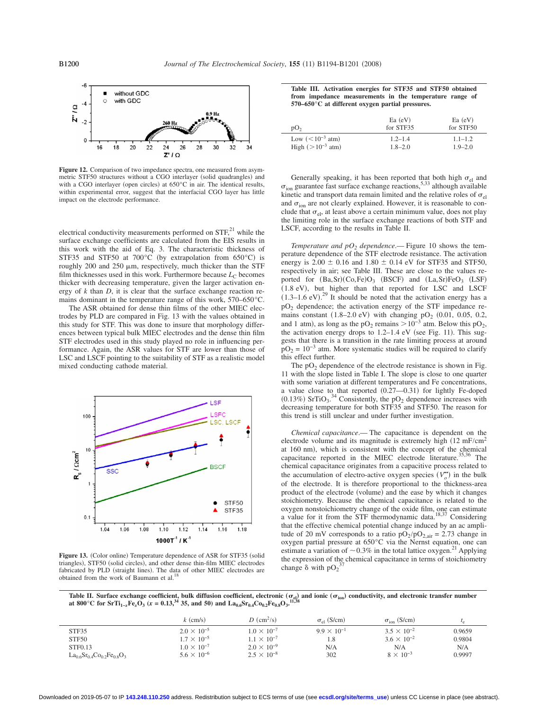

**Figure 12.** Comparison of two impedance spectra, one measured from asymmetric STF50 structures without a CGO interlayer (solid quadrangles) and with a CGO interlayer (open circles) at  $650^{\circ}$ C in air. The identical results, within experimental error, suggest that the interfacial CGO layer has little impact on the electrode performance.

electrical conductivity measurements performed on  $STF<sub>1</sub><sup>21</sup>$  while the surface exchange coefficients are calculated from the EIS results in this work with the aid of Eq. 3. The characteristic thickness of STF35 and STF50 at 700 $^{\circ}$ C (by extrapolation from 650 $^{\circ}$ C) is roughly 200 and 250  $\mu$ m, respectively, much thicker than the STF film thicknesses used in this work. Furthermore because  $L<sub>C</sub>$  becomes thicker with decreasing temperature, given the larger activation energy of *k* than *D*, it is clear that the surface exchange reaction remains dominant in the temperature range of this work, 570–650°C.

The ASR obtained for dense thin films of the other MIEC electrodes by PLD are compared in Fig. 13 with the values obtained in this study for STF. This was done to insure that morphology differences between typical bulk MIEC electrodes and the dense thin film STF electrodes used in this study played no role in influencing performance. Again, the ASR values for STF are lower than those of LSC and LSCF pointing to the suitability of STF as a realistic model mixed conducting cathode material.



Figure 13. (Color online) Temperature dependence of ASR for STF35 (solid triangles), STF50 (solid circles), and other dense thin-film MIEC electrodes fabricated by PLD (straight lines). The data of other MIEC electrodes are obtained from the work of Baumann et al.<sup>18</sup>

**Table III. Activation energies for STF35 and STF50 obtained from impedance measurements in the temperature range of 570–650°C at different oxygen partial pressures.**

| pO <sub>2</sub>       | $Ea$ (eV)<br>for STF35 | $Ea$ (eV)<br>for STF50 |
|-----------------------|------------------------|------------------------|
| Low $(< 10^{-3}$ atm) | $1.2 - 1.4$            | $1.1 - 1.2$            |
| High $(>10^{-3}$ atm) | $1.8 - 2.0$            | $1.9 - 2.0$            |

Generally speaking, it has been reported that both high  $\sigma_{el}$  and  $\sigma_{\text{ion}}$  guarantee fast surface exchange reactions,  $5,33$  although available kinetic and transport data remain limited and the relative roles of  $\sigma_{el}$ and  $\sigma_{ion}$  are not clearly explained. However, it is reasonable to conclude that  $\sigma_{el}$ , at least above a certain minimum value, does not play the limiting role in the surface exchange reactions of both STF and LSCF, according to the results in Table II.

*Temperature and*  $pO_2$  *<i>dependence*.— Figure 10 shows the temperature dependence of the STF electrode resistance. The activation energy is  $2.00 \pm 0.16$  and  $1.80 \pm 0.14$  eV for STF35 and STF50, respectively in air; see Table III. These are close to the values reported for  $(Ba, Sr)(Co, Fe)O_3$  (BSCF) and  $(La, Sr)FeO_3$  (LSF) (1.8 eV), but higher than that reported for LSC and LSCF  $(1.3-1.6 \text{ eV})$ .<sup>29</sup> It should be noted that the activation energy has a pO2 dependence; the activation energy of the STF impedance remains constant  $(1.8-2.0 \text{ eV})$  with changing pO<sub>2</sub>  $(0.01, 0.05, 0.2,$ and 1 atm), as long as the pO<sub>2</sub> remains  $> 10^{-3}$  atm. Below this pO<sub>2</sub>, the activation energy drops to  $1.2-1.4$  eV (see Fig. 11). This suggests that there is a transition in the rate limiting process at around  $pO<sub>2</sub> = 10<sup>-3</sup>$  atm. More systematic studies will be required to clarify this effect further.

The  $pO<sub>2</sub>$  dependence of the electrode resistance is shown in Fig. 11 with the slope listed in Table I. The slope is close to one quarter with some variation at different temperatures and Fe concentrations, a value close to that reported  $(0.27 - 0.31)$  for lightly Fe-doped  $(0.13\%)$  SrTiO<sub>3</sub>.<sup>34</sup> Consistently, the pO<sub>2</sub> dependence increases with decreasing temperature for both STF35 and STF50. The reason for this trend is still unclear and under further investigation.

*Chemical capacitance*.— The capacitance is dependent on the electrode volume and its magnitude is extremely high  $(12 \text{ mF/cm}^2)$ at 160 nm), which is consistent with the concept of the chemical capacitance reported in the MIEC electrode literature.<sup>35,36</sup> The chemical capacitance originates from a capacitive process related to the accumulation of electro-active oxygen species  $(V_o^{\bullet})$  in the bulk of the electrode. It is therefore proportional to the thickness-area product of the electrode (volume) and the ease by which it changes stoichiometry. Because the chemical capacitance is related to the oxygen nonstoichiometry change of the oxide film, one can estimate a value for it from the STF thermodynamic data.<sup>18,37</sup> Considering that the effective chemical potential change induced by an ac amplitude of 20 mV corresponds to a ratio  $pO_2/pO_{2,air} = 2.73$  change in oxygen partial pressure at 650°C via the Nernst equation, one can estimate a variation of  $\sim 0.3\%$  in the total lattice oxygen.<sup>21</sup> Applying the expression of the chemical capacitance in terms of stoichiometry<br>shapes  $\frac{8}{2}$  with  $2^{37}$ change  $\delta$  with pO<sub>2</sub><sup>2</sup>

Table II. Surface exchange coefficient, bulk diffusion coefficient, electronic ( $\sigma_{el}$ ) and ionic ( $\sigma_{ion}$ ) conductivity, and electronic transfer number<br>of 800°C for SrTi Fe O (x = 0.13<sup>34</sup> 25, and 50) and La Sr, Ce Fe O **at 800°C for SrTi**<sub>1−*x*</sub>**Fe**<sub>*x*</sub> $\overrightarrow{O_3}$  (*x* = 0.13,<sup>34</sup> 35, and 50) and La<sub>0.6</sub>Sr<sub>0.4</sub>Co<sub>0.2</sub>Fe<sub>0.8</sub>O<sub>3</sub>.

|                                       | $k \text{ (cm/s)}$   | $D$ (cm <sup>2</sup> /s) | $\sigma_{el}$ (S/cm) | $\sigma_{\text{ion}}$ (S/cm) |        |
|---------------------------------------|----------------------|--------------------------|----------------------|------------------------------|--------|
| STF35                                 | $2.0 \times 10^{-5}$ | $1.0 \times 10^{-7}$     | $9.9 \times 10^{-1}$ | $3.5 \times 10^{-2}$         | 0.9659 |
| STF50                                 | $1.7 \times 10^{-5}$ | $1.1 \times 10^{-7}$     | 1.8                  | $3.6 \times 10^{-2}$         | 0.9804 |
| STF0.13                               | $1.0 \times 10^{-7}$ | $2.0 \times 10^{-9}$     | N/A                  | N/A                          | N/A    |
| $La_{0.6}Sr_{0.4}Co_{0.2}Fe_{0.8}O_3$ | $5.6 \times 10^{-6}$ | $2.5 \times 10^{-8}$     | 302                  | $8 \times 10^{-3}$           | 0.9997 |